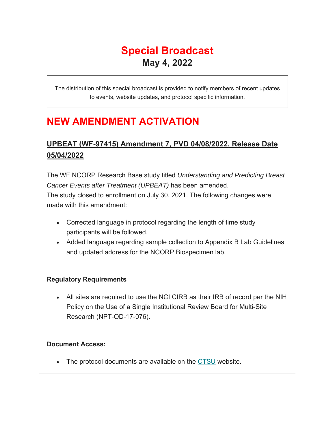# **Special Broadcast May 4, 2022**

The distribution of this special broadcast is provided to notify members of recent updates to events, website updates, and protocol specific information.

## **NEW AMENDMENT ACTIVATION**

## **UPBEAT (WF-97415) Amendment 7, PVD 04/08/2022, Release Date 05/04/2022**

The WF NCORP Research Base study titled *Understanding and Predicting Breast Cancer Events after Treatment (UPBEAT)* has been amended. The study closed to enrollment on July 30, 2021. The following changes were made with this amendment:

- Corrected language in protocol regarding the length of time study participants will be followed.
- Added language regarding sample collection to Appendix B Lab Guidelines and updated address for the NCORP Biospecimen lab.

### **Regulatory Requirements**

 All sites are required to use the NCI CIRB as their IRB of record per the NIH Policy on the Use of a Single Institutional Review Board for Multi-Site Research (NPT-OD-17-076).

#### **Document Access:**

The protocol documents are available on the CTSU website.